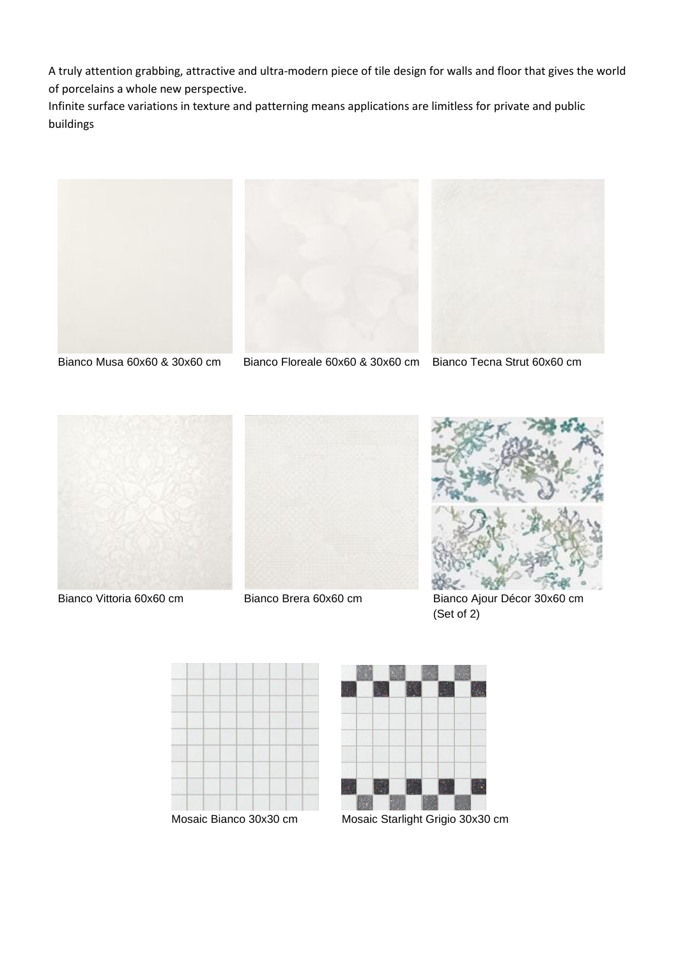A truly attention grabbing, attractive and ultra-modern piece of tile design for walls and floor that gives the world of porcelains a whole new perspective.

Infinite surface variations in texture and patterning means applications are limitless for private and public buildings





Bianco Musa 60x60 & 30x60 cm Bianco Floreale 60x60 & 30x60 cm Bianco Tecna Strut 60x60 cm









Bianco Vittoria 60x60 cm Bianco Brera 60x60 cm Bianco Ajour Décor 30x60 cm (Set of 2)





Mosaic Bianco 30x30 cm Mosaic Starlight Grigio 30x30 cm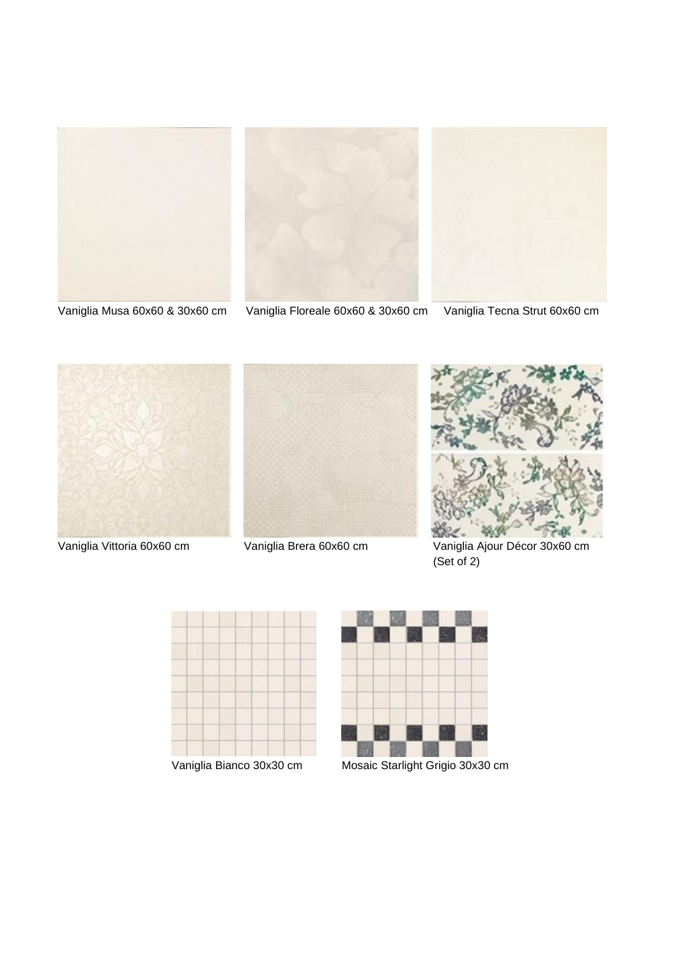



Vaniglia Musa 60x60 & 30x60 cm Vaniglia Floreale 60x60 & 30x60 cm Vaniglia Tecna Strut 60x60 cm







 Vaniglia Vittoria 60x60 cm Vaniglia Brera 60x60 cm Vaniglia Ajour Décor 30x60 cm (Set of 2)





Vaniglia Bianco 30x30 cm Mosaic Starlight Grigio 30x30 cm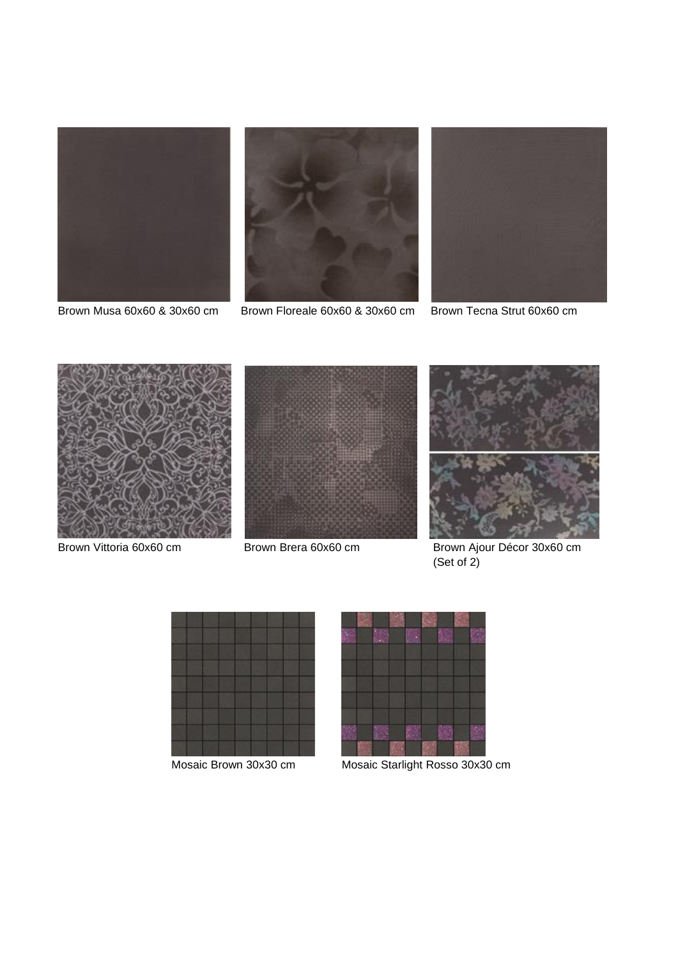



Brown Musa 60x60 & 30x60 cm Brown Floreale 60x60 & 30x60 cm Brown Tecna Strut 60x60 cm









Brown Vittoria 60x60 cm Brown Brera 60x60 cm Brown Ajour Décor 30x60 cm (Set of 2)





Mosaic Brown 30x30 cm Mosaic Starlight Rosso 30x30 cm